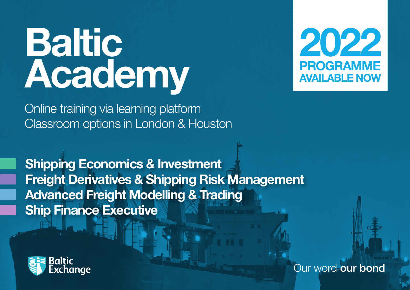# **Baltic Academy**



Online training via learning platform Classroom options in London & Houston

**Shipping Economics & Investment Freight Derivatives & Shipping Risk Management Advanced Freight Modelling & Trading Ship Finance Executive**



Our word **our bond**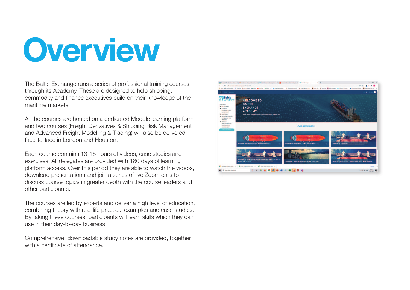# **Overview**

The Baltic Exchange runs a series of professional training courses through its Academy. These are designed to help shipping, commodity and finance executives build on their knowledge of the maritime markets.

All the courses are hosted on a dedicated Moodle learning platform and two courses (Freight Derivatives & Shipping Risk Management and Advanced Freight Modelling & Trading) will also be delivered face-to-face in London and Houston.

Each course contains 13-15 hours of videos, case studies and exercises. All delegates are provided with 180 days of learning platform access. Over this period they are able to watch the videos, download presentations and join a series of live Zoom calls to discuss course topics in greater depth with the course leaders and other participants.

The courses are led by experts and deliver a high level of education, combining theory with real-life practical examples and case studies. By taking these courses, participants will learn skills which they can use in their day-to-day business.

Comprehensive, downloadable study notes are provided, together with a certificate of attendance.

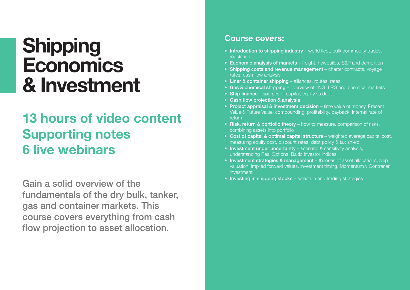# **Shipping Economics & Investment**

### **13 hours of video content Supporting notes 6 live webinars**

**Gain a solid overview of the fundamentals of the dry bulk, tanker, gas and container markets. This course covers everything from cash flow projection to asset allocation.**

#### **Course covers:**

- **Introduction to shipping industry** world fleet, bulk commodity trades, regulation
- **Economic analysis of markets**  freight, newbuilds, S&P and demolition
- **Shipping costs and revenue management**  charter contracts, voyage rates, cash flow analysis
- **Liner & container shipping** alliances, routes, rates
- **Gas & chemical shipping**  overview of LNG, LPG and chemical markets
- **Ship finance**  sources of capital, equity vs debt
- **Cash flow projection & analysis**
- **Project appraisal & investment decision** time value of money, Present Value & Future Value, compounding, profitability, payback, internal rate of return
- **Risk, return & portfolio theory** how to measure, comparison of risks, combining assets into portfolio
- **Cost of capital & optimal capital structure** weighted average capital cost, measuring equity cost, discount rates, debt policy & tax shield
- **Investment under uncertainty** scenario & sensitivity analysis, understanding Real Options, Baltic Investor Indices
- **Investment strategies & management** theories of asset allocations, ship valuation, implied forward values, investment timing, Momentum v Contrarian investment
- **Investing in shipping stocks** selection and trading strategies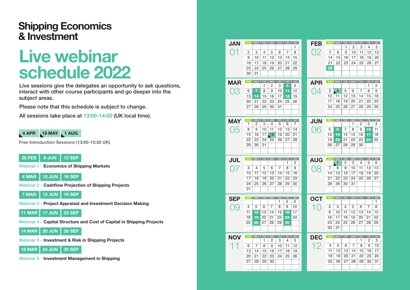#### **Shipping Economics & Investment**

# **Live webinar schedule 2022**

**Live sessions give the delegates an opportunity to ask questions, interact with other course participants and go deeper into the subject areas.**

**Please note that this schedule is subject to change.** 

**All sessions take place at 13:00-14:00 (UK local time).**

#### **4 APR 18 MAY 1 AUG**

**Free Introduction Sessions (13:00-13:30 UK)**

#### **28 FEB 6 JUN 12 SEP**

**Webinar 1 - Economics of Shipping Markets**

**4 MAR 10 JUN 16 SEP**

- **Webinar 2 - Cashflow Projection of Shipping Projects**
- **7 MAR 13 JUN 19 SEP**
- **Webinar 3 - Project Appraisal and Investment Decision Making**

**11 MAR 17 JUN 23 SEP**

**Webinar 4 - Capital Structure and Cost of Capital in Shipping Projects** 

**14 MAR 20 JUN 26 SEP**

**Webinar 5 - Investment & Risk in Shipping Projects**

**18 MAR 24 JUN 30 SEP**

**Webinar 6 - Investment Management in Shipping**

| <b>JAN</b> | <b>SUN</b>      | <b>MON</b>      | <b>TUE</b> | WED             | THU            | ${\sf FRI}$ | SAT | <b>FEB</b>         | <b>SUN</b>     | <b>MON</b>     | TUE      | WED                   | THU                   | FRI         | SAT                   |
|------------|-----------------|-----------------|------------|-----------------|----------------|-------------|-----|--------------------|----------------|----------------|----------|-----------------------|-----------------------|-------------|-----------------------|
|            |                 |                 |            |                 |                |             | 1   |                    |                |                | 1        | 2                     | 3                     | 4           | 5                     |
|            | 2               | 3               | 4          | 5               | 6              | 7           | 8   | 02                 | 7              | 8              | 9        | 10                    | 11                    | 12          | 13                    |
|            | 9               | 10              | 11         | 12              | 13             | 14          | 15  |                    | 14             | 15             | 16       | 17                    | 18                    | 19          | 20                    |
|            | 16              | 17              | 18         | 19              | 20             | 21          | 22  |                    | 21             | 22             | 23       | 24                    | 25                    | 26          | 27                    |
|            | 23              | 24              | 25         | 26              | 27             | 28          | 29  |                    | 28             |                |          |                       |                       |             |                       |
|            | 30              | 31              |            |                 |                |             |     |                    |                |                |          |                       |                       |             |                       |
| <b>MAR</b> | SUN             | MON             | TUE        | WED             | THU            | FRI         | SAT | <b>APR</b>         | <b>SUN</b>     | MON TUE        |          | WED                   | THU                   | FRI         | SAT                   |
|            |                 |                 | 1          | 2               | 3              | 4           | 5   |                    |                |                |          |                       |                       | 1           | 2                     |
| 03         | 6               | $\overline{7}$  | 8          | 9               | 10             | 11          | 12  | 04                 | 3              | $\overline{4}$ | 5        | 6                     | $\overline{7}$        | 8           | 9                     |
|            | 13              | 14              | 15         | 16              | 17             | 18          | 19  |                    | 10             | 11             | 12       | 13                    | 14                    | 15          | 16                    |
|            | 20              | 21              | 22         | 23              | 24             | 25          | 26  |                    | 17             | 18             | 19       | 20                    | 21                    | 22          | 23                    |
|            | 27              | 28              | 29         | 30              | 31             |             |     |                    | 24             | 25             | 26       | 27                    | 28                    | 29          | 30                    |
|            |                 |                 |            |                 |                |             |     |                    |                |                |          |                       |                       |             |                       |
| <b>MAY</b> | SUN             | <b>MON</b>      | <b>TUE</b> | WED             | THU            | FRI         | SAT | <b>JUN</b>         | <b>SUN</b>     | <b>MON</b>     | TUE.     | WED                   | THU                   | FRI         | SAT                   |
|            | 1               | 2               | 3          | 4               | 5              | 6           | 7   |                    |                |                |          | 1                     | 2                     | 3           | 4                     |
| 05         | 8               | 9               | 10         | 11              | 12             | 13          | 14  | 06                 | 5              | 6              | 7        | 8                     | 9                     | 10          | 11                    |
|            | 15              | 16              | 17         | $\overline{18}$ | 19             | 20          | 21  |                    | 12             | 13             | 14       | 15                    | 16                    | 17          | 18                    |
|            | 22              | 23              | 24         | 25              | 26             | 27          | 28  |                    | 19             | 20             | 21       | 22                    | 23                    | 24          | 25                    |
|            | 29              | 30              | 31         |                 |                |             |     |                    | 26             | 27             | 28       | 29                    | 30                    |             |                       |
|            |                 |                 |            |                 |                |             |     |                    |                |                |          |                       |                       |             |                       |
|            |                 |                 |            |                 |                |             |     |                    |                |                |          |                       |                       |             |                       |
| <b>JUL</b> | SUN             | <b>MON</b>      |            |                 | TUE WED THU    | FRI         | SAT |                    | SUN            | <b>MON</b>     | TUE      | WED                   | <b>THU</b>            | FRI         | SAT                   |
|            |                 |                 |            |                 |                | 1           | 2   | <b>AUG</b>         |                | 1              | 2        | 3                     | 4                     | 5           | 6                     |
| ()         | 3               | 4               | 5          | 6               | $\overline{7}$ | 8           | 9   | 08                 | $\overline{7}$ | 8              | 9        | 10                    | 11                    | 12          | 13                    |
|            | 10              | 11              | 12         | 13              | 14             | 15          | 16  |                    | 14             | 15             | 16       | 17                    | 18                    | 19          | 20                    |
|            | 17              | 18              | 19         | 20              | 21             | 22          | 23  |                    | 21             | 22             | 23       | 24                    | 25                    | 26          | 27                    |
|            | $\overline{24}$ | $\overline{25}$ | 26         | 27              | 28             | 29          | 30  |                    | 28             | 29             | 30       | 31                    |                       |             |                       |
|            | 31              |                 |            |                 |                |             |     |                    |                |                |          |                       |                       |             |                       |
| <b>SEP</b> | <b>SUN</b>      | <b>MON</b>      |            | TUE WED         | THU FRI        |             | SAT | <b>OCT</b>         | <b>SUN</b>     | MON            | TUE      | WED                   | THU                   | FRI         | SAT                   |
|            |                 |                 |            |                 | 1              | 2           | 3   |                    |                |                |          |                       |                       |             | 1                     |
| 09         | 4               | 5               | 6          | 7               | 8              | 9           | 10  | $\left( \ \right)$ | 2              | 3              | 4        | 5                     | 6                     | 7           | 8                     |
|            | 11              | 12              | 13         | 14              | 15             | 16          | 17  |                    | 9              | 10             | 11       | 12                    | 13                    | 14          | 15                    |
|            | 18              | 19              | 20         | 21              | 22             | 23          | 24  |                    | 16             | 17             | 18       | 19                    | 20                    | 21          | $\overline{22}$       |
|            | 25              | 26              | 27         | 28              | 29             | 30          |     |                    | 23<br>30       | 24<br>31       | 25       | 26                    | 27                    | 28          | 29                    |
|            |                 |                 |            |                 |                |             |     |                    |                |                |          |                       |                       |             |                       |
| <b>NOV</b> | <b>SUN</b>      | $_{\text{MON}}$ | TUE        | WED             | THU            | FRI         | SAT | <b>DEC</b>         | <b>SUN</b>     | <b>MON</b>     | TUE      | WED                   | <b>THU</b>            | ${\sf FRI}$ | SAT                   |
|            |                 |                 | 1          | 2               | 3              | 4           | 5   |                    | 4              |                |          | $\overline{7}$        | 1<br>8                | 2<br>9      | 3                     |
| -1         | 6               | 7               | 8          | 9               | 10             | 11          | 12  | 12                 | 11             | 5              | 6        | 14                    |                       | 16          | 10                    |
|            | 13              | 14              | 15         | 16              | 17             | 18          | 19  |                    | 18             | 12<br>19       | 13<br>20 |                       | 15                    |             | 17                    |
|            | 20              | 21              | 22         | 23              | 24             | 25          | 26  |                    | 25             | 26             | 27       | $\overline{21}$<br>28 | $\overline{22}$<br>29 | 23<br>30    | $\overline{24}$<br>31 |
|            | 27              | 28              | 29         | 30              |                |             |     |                    |                |                |          |                       |                       |             |                       |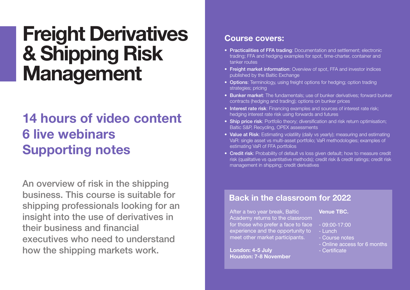# **Freight Derivatives & Shipping Risk Management**

### **14 hours of video content 6 live webinars Supporting notes**

**An overview of risk in the shipping business. This course is suitable for shipping professionals looking for an insight into the use of derivatives in their business and financial executives who need to understand how the shipping markets work.**

#### **Course covers:**

- **Practicalities of FFA trading**: Documentation and settlement; electronic trading; FFA and hedging examples for spot, time-charter, container and tanker routes
- **Freight market information**: Overview of spot, FFA and investor indices published by the Baltic Exchange
- **Options**: Terminology, using freight options for hedging; option trading strategies; pricing
- **Bunker market**: The fundamentals; use of bunker derivatives; forward bunker contracts (hedging and trading); options on bunker prices
- **Interest rate risk**: Financing examples and sources of interest rate risk; hedging interest rate risk using forwards and futures
- **Ship price risk**: Portfolio theory; diversification and risk return optimisation; Baltic S&P, Recycling, OPEX assessments
- **Value at Risk**: Estimating volatility (daily vs yearly); measuring and estimating VaR: single asset vs multi-asset portfolio; VaR methodologies; examples of estimating VaR of FFA portfolios
- **Credit risk**: Probability of default vs loss given default; how to measure credit risk (qualitative vs quantitative methods); credit risk & credit ratings; credit risk management in shipping; credit derivatives

#### **Back in the classroom for 2022**

After a two year break, Baltic Academy returns to the classroom for those who prefer a face to face experience and the opportunity to meet other market participants.

**London: 4-5 July Houston: 7-8 November**

#### **Venue TBC.**

- 09:00-17:00
- Lunch
- Course notes
- Online access for 6 months
- Certificate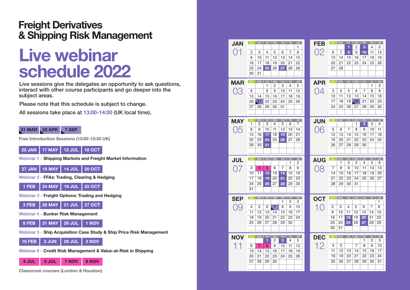#### **Freight Derivatives & Shipping Risk Management**

# **Live webinar schedule 2022**

**Live sessions give the delegates an opportunity to ask questions, interact with other course participants and go deeper into the subject areas.**

**Please note that this schedule is subject to change.** 

**All sessions take place at 13:00-14:00 (UK local time).**

#### **21 MAR 20 APR 7 SEP**

**Free Introduction Sessions (13:00-13:30 UK)**

#### **25 JAN 17 MAY 12 JUL 18 OCT**

**Webinar 1 - Shipping Markets and Freight Market Information**

**27 JAN 19 MAY 14 JUL 20 OCT**

**Webinar 2 - FFAs: Trading, Clearing & Hedging**

**1 FEB 24 MAY 19 JUL 25 OCT**

**Webinar 3 - Freight Options: Trading and Hedging** 

|  | 3 FEB 26 MAY 21 JUL 27 OCT |  |  |
|--|----------------------------|--|--|
|--|----------------------------|--|--|

**Webinar 4 - Bunker Risk Management** 

**8 FEB 31 MAY 26 JUL 1 NOV**

**Webinar 5 - Ship Acquisition Case Study & Ship Price Risk Management**

**10 FEB 2 JUN 28 JUL 3 NOV**

**Webinar 6 - Credit Risk Management & Value-at-Risk in Shipping**

**4 JUL 5 JUL 7 NOV 8 NOV**

**Classroom courses (London & Houston)**

| <b>JAN</b>         | <b>SUN</b>      | <b>MON</b>      | <b>TUE</b>      | <b>WED</b>     | THU             | FRI.           | SAT      | <b>FEB</b> | <b>SUN</b>     | <b>MON</b>      | <b>TUE</b>     | <b>WED</b>      | THU                   | FRI            | SAT             |
|--------------------|-----------------|-----------------|-----------------|----------------|-----------------|----------------|----------|------------|----------------|-----------------|----------------|-----------------|-----------------------|----------------|-----------------|
|                    |                 |                 |                 |                |                 |                | 1        |            |                |                 | 1              | 2               | 3                     | 4              | 5               |
| 01                 | 2               | 3               | 4               | 5              | 6               | $\overline{7}$ | 8        | 02         | 6              | $\overline{7}$  | 8              | 9               | 10                    | 11             | 12              |
|                    | 9               | 10              | 11              | 12             | 13              | 14             | 15       |            | 13             | 14              | 15             | 16              | 17                    | 18             | 19              |
|                    | 16              | 17              | 18              | 19             | 20              | 21             | 22       |            | 20             | 21              | 22             | 23              | 24                    | 25             | 26              |
|                    | 23              | 24              | 25              | 26             | 27              | 28             | 29       |            | 27             | 28              |                |                 |                       |                |                 |
|                    | 30              | 31              |                 |                |                 |                |          |            |                |                 |                |                 |                       |                |                 |
|                    |                 |                 |                 |                |                 |                |          |            |                |                 |                |                 |                       |                |                 |
| <b>MAR</b>         | SUN             | <b>MON</b>      | TUE             | WED            | THU             | FRI.           | SAT      | <b>APR</b> | <b>SUN</b>     | <b>MON</b>      | <b>TUE</b>     | WED             | THU                   | FRI            | SAT             |
|                    |                 |                 | 1               | 2              | 3               | 4              | 5        |            |                |                 |                |                 |                       | 1              | 2               |
| 03                 | 6               |                 | 8               | 9              | 10              | 11             | 12       | 04         | 3              | 4               | 5              | 6               | 7                     | 8              | 9               |
|                    | 13              | 14              | 15              | 16             | 17              | 18             | 19       |            | 10             | 11              | 12             | 13              | 14                    | 15             | 16              |
|                    | 20              | $\overline{21}$ | 22              | 23             | 24              | 25             | 26       |            | 17             | 18              | 19             | $\overline{20}$ | 21                    | 22             | 23              |
|                    | 27              | 28              | 29              | 30             | 31              |                |          |            | 24             | 25              | 26             | 27              | 28                    | 29             | 30              |
|                    |                 |                 |                 |                |                 |                |          |            |                |                 |                |                 |                       |                |                 |
|                    |                 |                 |                 |                |                 |                |          |            | SUN            | <b>MON</b>      | <b>TUE</b>     | WED             |                       | FRI            | SAT             |
| <b>MAY</b>         | SUN<br>1        | <b>MON</b><br>2 | TUE<br>3        | WED<br>4       | THU<br>5        | FRI<br>6       | SAT<br>7 | <b>JUN</b> |                |                 |                | 1               | THU<br>$\overline{2}$ | 3              | 4               |
| 05                 | 8               | 9               | 10              | 11             | 12              | 13             | 14       | 06         | 5              | 6               | 7              | 8               | 9                     | 10             | 11              |
|                    | 15              | 16              | 17              | 18             | 19              | 20             | 21       |            | 12             | 13              | 14             | 15              | 16                    | 17             | 18              |
|                    | 22              | 23              | 24              | 25             | 26              | 27             | 28       |            | 19             | 20              | 21             | 22              | 23                    | 24             | 25              |
|                    | 29              | 30              | 31              |                |                 |                |          |            | 26             | 27              | 28             | 29              | 30                    |                |                 |
|                    |                 |                 |                 |                |                 |                |          |            |                |                 |                |                 |                       |                |                 |
|                    |                 |                 |                 |                |                 |                |          |            |                |                 |                |                 |                       |                |                 |
|                    |                 |                 |                 |                |                 |                |          |            |                |                 |                |                 |                       |                |                 |
|                    | SUN             | <b>MON</b>      | TUE             | WED            | <b>THU</b>      | FRI -          | SAT      |            | SUN            | <b>MON</b>      | TUE            | WED             | THU                   | FRI            |                 |
| <b>JUL</b>         |                 |                 |                 |                |                 | 1              | 2        | <b>AUG</b> |                | 1               | $\overline{2}$ | 3               | 4                     | 5              | 6               |
| 07                 | 3               | $\overline{4}$  | 5               | 6              | 7               | 8              | 9        |            | 7              | 8               | 9              | 10              | 11                    | 12             | 13              |
|                    | 10              | 11              | $\overline{12}$ | 13             | 14              | 15             | 16       | 08         | 14             | 15              | 16             | 17              | 18                    | 19             | 20              |
|                    | 17              | 18              | 19              | 20             | 21              | 22             | 23       |            | 21             | 22              | 23             | 24              | 25                    | 26             | 27              |
|                    | $\overline{24}$ | 25              | 26              | 27             | 28              | 29             | 30       |            | 28             | 29              | 30             | 31              |                       |                |                 |
|                    | 31              |                 |                 |                |                 |                |          |            |                |                 |                |                 |                       |                |                 |
|                    |                 |                 |                 |                |                 |                |          |            |                |                 |                |                 |                       |                |                 |
| <b>SEP</b>         | <b>SUN</b>      | <b>MON</b>      | TUE             | <b>WED</b>     | THU             | FRI.           | SAT      | <b>OCT</b> | <b>SUN</b>     | <b>MON</b>      | <b>TUE</b>     | WED             | THU                   | FRI            | SAT             |
|                    |                 |                 |                 |                | 1               | 2              | 3        |            |                |                 |                |                 |                       |                | 1               |
| 09                 | 4               | 5               | 6               | $\overline{7}$ | 8               | 9              | 10       | 10         | $\overline{c}$ | 3               | $\overline{4}$ | 5               | 6                     | $\overline{7}$ | 8               |
|                    | 11              | 12              | 13              | 14             | 15              | 16             | 17       |            | 9              | 10              | 11             | 12              | 13                    | 14             | 15              |
|                    | $\overline{18}$ | 19              | 20              | 21             | $\overline{22}$ | 23             | 24       |            | 16             | 17              | 18             | 19              | 20                    | 21             | $\overline{22}$ |
|                    | 25              | 26              | 27              | 28             | 29              | 30             |          |            | 23             | 24              | 25             | 26              | 27                    | 28             | 29              |
|                    |                 |                 |                 |                |                 |                |          |            | 30             | $\overline{31}$ |                |                 |                       |                |                 |
|                    | <b>SUN</b>      | <b>MON</b>      | <b>TUE</b>      | WED            | <b>THU</b>      | FRI.           | SAT      |            | SUN            | <b>MON</b>      | TUE            | WED             | <b>THU</b>            | FRI            | <b>SAT</b>      |
| <b>NOV</b>         |                 |                 | 1               | 2              | 3               | 4              | 5        | <b>DEC</b> |                |                 |                |                 | 1                     | 2              | 3               |
|                    | 6               | $\overline{7}$  | 8               | 9              | 10              | 11             | 12       |            | 4              | 5               |                | 7               | 8                     | 9              | 10              |
| $\hat{\mathbb{1}}$ | 13              | 14              | 15              | 16             | 17              | 18             | 19       | 12         | 11             | 12              | 13             | 14              | 15                    | 16             | SAT<br>17       |
|                    | 20              | 21              | 22              | 23             | 24              | 25             | 26       |            | 18             | 19              | 20             | 21              | $\overline{22}$       | 23             | 24              |
|                    | 27              | 28              | 29              | 30             |                 |                |          |            | 25             | 26              | 27             | 28              | 29                    | 30             | 31              |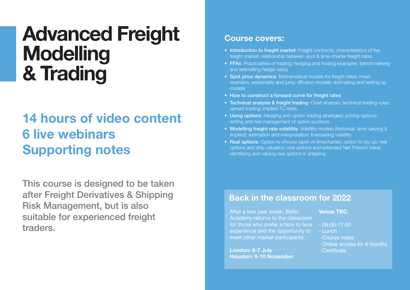# **Advanced Freight Modelling & Trading**

### **14 hours of video content 6 live webinars Supporting notes**

**This course is designed to be taken after Freight Derivatives & Shipping Risk Management, but is also suitable for experienced freight traders.** 

#### **Course covers:**

- **Introduction to freight market**: Freight contracts; characteristics of the freight market; relationship between spot & time-charter freight rates
- **FFAs**: Practicalities of trading; hedging and trading examples; benchmarking and estimating hedge ratios
- **Spot price dynamics**: Mathematical models for freight rates; mean reversion, seasonality and jump diffusion models; estimating and setting up models
- **How to construct a forward curve for freight rates**
- **Technical analysis & freight trading**: Chart analysis; technical trading rules; spread trading; implied TC rates
- **Using options**: Hedging and option trading strategies; pricing options; writing and risk management of option postions
- **Modelling freight rate volatility**: Volatility models (historical, time-varying & implied); estimation and interpretation; forecasting volatility
- **Real options**: Option to choose (spot vs timecharter); option to lay-up; real options and ship valuation; real options and extended Net Present Value; identifying and valuing real options in shipping

#### **Back in the classroom for 2022**

After a two year break, Baltic Academy returns to the classroom for those who prefer a face to face experience and the opportunity to meet other market participants.

**London: 6-7 July Houston: 9-10 November**

#### **Venue TBC.**

- 09:00-17:00
- Lunch
- Course notes
- Online access for 6 months
- Certificate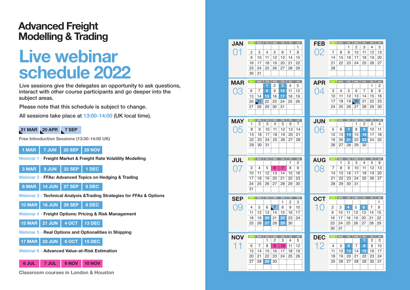#### **Advanced Freight Modelling & Trading**

# **Live webinar schedule 2022**

**Live sessions give the delegates an opportunity to ask questions, interact with other course participants and go deeper into the subject areas.**

**Please note that this schedule is subject to change.** 

**All sessions take place at 13:00-14:00 (UK local time).**

#### **21 MAR 20 APR 7 SEP**

**Free Introduction Sessions (13:30-14:00 UK)**

#### **1 MAR 7 JUN 20 SEP 29 NOV**

**Webinar 1 - Freight Market & Freight Rate Volatility Modelling**

**3 MAR 9 JUN 22 SEP 1 DEC**

**Webinar 2 - FFAs: Advanced Topics on Hedging & Trading**

**8 MAR 14 JUN 27 SEP 6 DEC**

**Webinar 3 - Technical Analysis &Trading Strategies for FFAs & Options**

**10 MAR 16 JUN 29 SEP 8 DEC**

**Webinar 4 - Freight Options: Pricing & Risk Management** 

**15 MAR 21 JUN 4 OCT 13 DEC**

**Webinar 5 - Real Options and Optionalities in Shipping**

**17 MAR 23 JUN 6 OCT 15 DEC**

**Webinar 6 - Advanced Value-at-Risk Estimation**

**6 JUL 7 JUL 9 NOV 10 NOV**

**Classroom courses in London & Houston**

| <b>JAN</b> | SUN             | MON TUE WED THU     |     |                 |                | FRI.        | SAT     | <b>FEB</b>     |            | SUN MON             |             | TUE WED         | <b>THU</b>          | FRI | SAT |
|------------|-----------------|---------------------|-----|-----------------|----------------|-------------|---------|----------------|------------|---------------------|-------------|-----------------|---------------------|-----|-----|
|            |                 |                     |     |                 |                |             | 1       |                |            |                     | 1           | 2               | 3                   | 4   | 5   |
| ( ) 1      | 2               | 3                   | 4   | 5               | 6              | 7           | 8       | 02             | 7          | 8                   | 9           | 10              | 11                  | 12  | 13  |
|            | 9               | 10                  | 11  | 12              | 13             | 14          | 15      |                | 14         | 15                  | 16          | 17              | 18                  | 19  | 20  |
|            | 16              | 17                  | 18  | 19              | 20             | 21          | 22      |                | 21         | 22                  | 23          | 24              | 25                  | 26  | 27  |
|            | 23              | 24                  | 25  | 26              | 27             | 28          | 29      |                | 28         |                     |             |                 |                     |     |     |
|            | 30              | 31                  |     |                 |                |             |         |                |            |                     |             |                 |                     |     |     |
| <b>MAR</b> | SUN             | MON                 | TUE | WED             | THU            | FRI         | SAT     | <b>APR</b>     |            | SUN MON TUE WED THU |             |                 |                     | FRI | SAT |
|            |                 |                     | 1   | 2               | з              | 4           | 5       |                |            |                     |             |                 |                     | 1   | 2   |
| 03         | 6               | 7                   | 8   | 9               | 10             | 11          | 12      | 04             | 3          | 4                   | 5           | 6               | $\overline{7}$      | 8   | 9   |
|            | 13              | 14                  | 15  | 16              | 17             | 18          | 19      |                | 10         | 11                  | 12          | 13              | 14                  | 15  | 16  |
|            | 20              | $\overline{21}$     | 22  | 23              | 24             | 25          | 26      |                | 17         | 18                  | 19          | $\overline{20}$ | 21                  | 22  | 23  |
|            | 27              | 28                  | 29  | 30              | 31             |             |         |                | 24         | 25                  | 26          | 27              | 28                  | 29  | 30  |
|            |                 |                     |     |                 |                |             |         |                |            |                     |             |                 |                     |     |     |
| <b>MAY</b> | SUN             | <b>MON</b>          | TUE | WED             | THU            |             | FRI SAT | <b>JUN</b>     | <b>SUN</b> |                     | MON TUE WED |                 | THU                 | FRI | SAT |
|            | 1               | 2                   | 3   | 4               | 5              | 6           | 7       |                |            |                     |             | 1               | 2                   | 3   | 4   |
| 05         | 8               | 9                   | 10  | 11              | 12             | 13          | 14      | 06             | 5          | 6                   | 7           | 8               | 9                   | 10  | 11  |
|            | 15              | 16                  | 17  | 18              | 19             | 20          | 21      |                | 12         | 13                  | 14          | 15              | 16                  | 17  | 18  |
|            | 22              | 23                  | 24  | 25              | 26             | 27          | 28      |                | 19         | 20                  | 21          | 22              | 23                  | 24  | 25  |
|            | 29              | 30                  | 31  |                 |                |             |         |                | 26         | 27                  | 28          | 29              | 30                  |     |     |
|            |                 |                     |     |                 |                |             |         |                |            |                     |             |                 |                     |     |     |
|            |                 |                     |     |                 |                |             |         |                |            |                     |             |                 |                     |     |     |
|            |                 | SUN MON TUE WED THU |     |                 |                | FRI         | SAT     |                | SUN        | <b>MON</b>          | TUE         | WED             | THU                 | FRI | SAT |
| <b>JUL</b> |                 |                     |     |                 |                | 1           | 2       | <b>AUG</b>     |            | 1                   | 2           | 3               | 4                   | 5   | 6   |
| 07         | 3               | $\overline{4}$      | 5   | 6               | $\overline{7}$ | 8           | 9       | 08             | 7          | 8                   | 9           | 10              | 11                  | 12  | 13  |
|            | 10              | 11                  | 12  | 13              | 14             | 15          | 16      |                | 14         | 15                  | 16          | 17              | 18                  | 19  | 20  |
|            | 17              | 18                  | 19  | 20              | 21             | 22          | 23      |                | 21         | 22                  | 23          | 24              | 25                  | 26  | 27  |
|            | $\overline{24}$ | 25                  | 26  | 27              | 28             | 29          | 30      |                | 28         | 29                  | 30          | 31              |                     |     |     |
|            | 31              |                     |     |                 |                |             |         |                |            |                     |             |                 |                     |     |     |
|            | SUN             |                     |     | MON TUE WED THU |                |             | FRI SAT |                | SUN        |                     |             |                 | MON TUE WED THU FRI |     | SAT |
| <b>SEP</b> |                 |                     |     |                 | 1              | 2           | 3       | <b>OCT</b>     |            |                     |             |                 |                     |     | 1   |
| 09         | 4               | 5                   | 6   | $\overline{7}$  | 8              | 9           | 10      | 1<br>$\bigcap$ | 2          | 3                   | 4           | 5               | 6                   | 7   | 8   |
|            | 11              | 12                  | 13  | 14              | 15             | 16          | 17      |                | 9          | 10                  | 11          | 12              | 13                  | 14  | 15  |
|            | 18              | 19                  | 20  | 21              | 22             | 23          | 24      |                | 16         | 17                  | 18          | 19              | 20                  | 21  | 22  |
|            | 25              | 26                  | 27  | 28              | 29             | 30          |         |                | 23         | 24                  | 25          | 26              | 27                  | 28  | 29  |
|            |                 |                     |     |                 |                |             |         |                | 30         | 31                  |             |                 |                     |     |     |
|            | SUN             | MON                 | TUE | WED             | THU            | ${\sf FRI}$ | SAT     |                | SUN        | <b>MON</b>          | <b>TUE</b>  | WED             | THU                 | FRI | SAT |
| <b>NOV</b> |                 |                     | 1   | 2               | 3              | 4           | 5       | <b>DEC</b>     |            |                     |             |                 | 1                   | 2   | 3   |
| 11         | 6               | $\overline{7}$      | 8   | 9               | 10             | 11          | 12      | 12             | 4          | 5                   | 6           | $\overline{7}$  | 8                   | 9   | 10  |
|            | 13              | 14                  | 15  | 16              | 17             | 18          | 19      |                | 11         | 12                  | 13          | 14              | 15                  | 16  | 17  |
|            | 20              | 21                  | 22  | 23              | 24             | 25          | 26      |                | 18         | 19                  | 20          | 21              | 22                  | 23  | 24  |
|            | 27              | 28                  | 29  | 30              |                |             |         |                | 25         | 26                  | 27          | 28              | 29                  | 30  | 31  |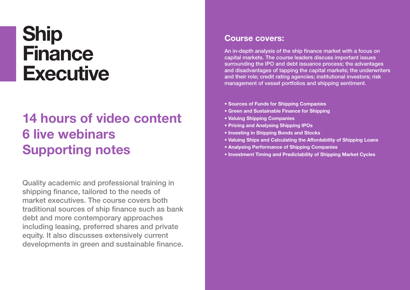# **Ship Finance Executive**

### **14 hours of video content 6 live webinars Supporting notes**

**Quality academic and professional training in shipping finance, tailored to the needs of market executives. The course covers both traditional sources of ship finance such as bank debt and more contemporary approaches including leasing, preferred shares and private equity. It also discusses extensively current developments in green and sustainable finance.**

#### **Course covers:**

**An in-depth analysis of the ship finance market with a focus on capital markets. The course leaders discuss important issues surrounding the IPO and debt issuance process; the advantages and disadvantages of tapping the capital markets; the underwriters and their role; credit rating agencies; institutional investors; risk management of vessel portfolios and shipping sentiment.**

- **Sources of Funds for Shipping Companies**
- **Green and Sustainable Finance for Shipping**
- **Valuing Shipping Companies**
- **Pricing and Analysing Shipping IPOs**
- **Investing in Shipping Bonds and Stocks**
- **Valuing Ships and Calculating the Affordability of Shipping Loans**
- **Analysing Performance of Shipping Companies**
- **Investment Timing and Predictability of Shipping Market Cycles**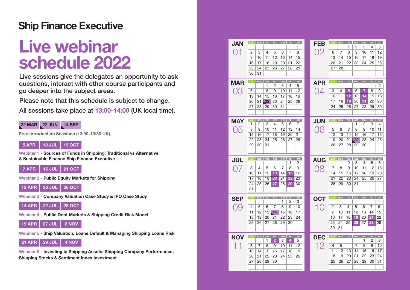### **Ship Finance Executive**

# **Live webinar schedule 2022**

**Live sessions give the delegates an opportunity to ask questions, interact with other course participants and go deeper into the subject areas.**

**Please note that this schedule is subject to change.** 

**All sessions take place at 13:00-14:00 (UK local time).**



**Free Introduction Sessions (13:00-13:30 UK)**



**Webinar 1 - Sources of Funds in Shipping: Traditional vs Alternative & Sustainable Finance Ship Finance Executive**

**7 APR 15 JUL 21 OCT**

**Webinar 2 - Public Equity Markets for Shipping** 

**12 APR 20 JUL 26 OCT**

**Webinar 3 - Company Valuation Case Study & IPO Case Study**

**14 APR 22 JUL 28 OCT**

**Webinar 4 - Public Debt Markets & Shipping Credit Risk Model** 

**19 APR 27 JUL 2 NOV**

**Webinar 5 - Ship Valuation, Loans Default & Managing Shipping Loans Risk**



**Webinar 6 - Investing in Shipping Assets: Shipping Company Performance, Shipping Stocks & Sentiment Index Investment**

| <b>JAN</b> | <b>SUN</b>      | <b>MON</b><br>TUE     |                       | WED   THU      | FRI.     | SAT<br>1 | <b>FEB</b> | <b>SUN</b>     | <b>MON</b>      | TUE<br>1 | WED<br>2        | <b>THU</b><br>3 | ${\sf FRI}$<br>4            | SAT<br>5        |
|------------|-----------------|-----------------------|-----------------------|----------------|----------|----------|------------|----------------|-----------------|----------|-----------------|-----------------|-----------------------------|-----------------|
| 01         | 2               | 3<br>4                | 5                     | 6              | 7        | 8        | 02         | 6              | 7               | 8        | 9               | 10              | 11                          | 12              |
|            | 9               | 11<br>10              | 12                    | 13             | 14       | 15       |            | 13             | 14              | 15       | 16              | 17              | 18                          | 19              |
|            | 16              | 17<br>18              | 19                    | 20             | 21       | 22       |            | 20             | 21              | 22       | 23              | 24              | 25                          | 26              |
|            | 23              | 24<br>25              | 26                    | 27             | 28       | 29       |            | 27             | 28              |          |                 |                 |                             |                 |
|            | 30              | 31                    |                       |                |          |          |            |                |                 |          |                 |                 |                             |                 |
|            |                 |                       |                       |                |          |          |            |                |                 |          |                 |                 |                             |                 |
| <b>MAR</b> | SUN             | MON TUE               | WED                   | THU            | FRI -    | SAT      | <b>APR</b> | <b>SUN</b>     | MON             | TUE      | WED             | THU             | $\ensuremath{\mathsf{FRI}}$ | SAT             |
|            |                 | 1                     | 2                     | 3              | 4        | 5        |            |                |                 |          |                 |                 | 1                           | 2               |
| 03         | 6               | 8                     | 9                     | 10             | 11       | 12       | 04         | 3              | 4               | 5        | 6               | $\overline{7}$  | 8                           | 9               |
|            | 13              | 14<br>15              | 16                    | 17             | 18       | 19       |            | 10             | 11              | 12       | 13              | 14              | 15                          | 16              |
|            | 20              | 21<br>$\overline{22}$ | 23                    | 24             | 25       | 26       |            | 17             | 18              | 19       | 20              | 21              | 22                          | 23              |
|            | 27              | 28<br>29              | 30                    | 31             |          |          |            | 24             | 25              | 26       | 27              | 28              | 29                          | 30              |
|            |                 |                       |                       |                |          |          |            |                |                 |          |                 |                 |                             |                 |
| <b>MAY</b> | SUN             | <b>MON</b><br>TUE     | WED                   | THU            | FRI      | SAT      | <b>JUN</b> | <b>SUN</b>     | <b>MON</b>      | TUE      | WED             | THU             | FRI                         | SAT             |
|            | 1               | 3<br>2                | 4                     | 5              | 6        | 7        |            |                |                 |          | 1               | 2               | 3                           | 4               |
| 05         | 8               | 9<br>10               | 11                    | 12             | 13       | 14       | 06         | 5              | 6               | 7        | 8               | 9               | 10                          | 11              |
|            | 15              | 17<br>16              | 18                    | 19             | 20       | 21       |            | 12             | 13              | 14       | 15              | 16              | 17                          | $\overline{18}$ |
|            | 22              | 23<br>24              | 25                    | 26             | 27       | 28       |            | 19             | 20              | 21       | $\overline{22}$ | 23              | 24                          | 25              |
|            | 29              | 30<br>31              |                       |                |          |          |            | 26             | 27              | 28       | 29              | 30              |                             |                 |
|            |                 |                       |                       |                |          |          |            |                |                 |          |                 |                 |                             |                 |
|            |                 |                       |                       |                |          |          |            |                |                 |          |                 |                 |                             |                 |
|            |                 |                       |                       |                |          |          |            |                |                 |          |                 |                 |                             |                 |
| <b>JUL</b> | SUN             | <b>MON</b><br>TUE     | WED                   | THU            | FRI      | SAT      | <b>AUG</b> | <b>SUN</b>     | <b>MON</b>      | TUE      | WED             | <b>THU</b>      | FRI                         | SAT             |
|            |                 |                       |                       |                | 1        | 2        |            |                | 1               | 2        | 3               | 4               | 5                           | 6               |
| 07         | 3               | $\overline{4}$<br>5   | 6                     | $\overline{7}$ | 8        | 9        | 08         | 7              | 8               | 9        | 10              | 11              | 12                          | 13              |
|            | 10              | 12<br>11              | $\overline{13}$       | 14             | 15       | 16       |            | 14             | 15              | 16       | 17              | 18              | 19                          | 20              |
|            | 17              | 18<br>19              | 20                    | 21             | 22       | 23       |            | 21             | $\overline{22}$ | 23       | 24              | 25              | 26                          | 27              |
|            | 24              | 25<br>26              | 27                    | 28             | 29       | 30       |            | 28             | 29              | 30       | 31              |                 |                             |                 |
|            | 31              |                       |                       |                |          |          |            |                |                 |          |                 |                 |                             |                 |
|            | SUN             | <b>MON</b><br>TUE     | WED                   | THU            | FRI.     | SAT      |            | SUN            | <b>MON</b>      | TUE      | WED             | THU             | $_{\rm FRI}$                | SAT             |
| <b>SEP</b> |                 |                       |                       | 1              | 2        | 3        | <b>OCT</b> |                |                 |          |                 |                 |                             | 1               |
| 09         | 4               | 5<br>6                | 7                     | 8              | 9        | 10       | 10         | $\overline{c}$ | 3               | 4        | 5               | 6               | 7                           | 8               |
|            | 11              | 12<br>13              | $\sqrt{14}$           | 15             | 16       | 17       |            | 9              | 10              | 11       | 12              | 13              | 14                          | 15              |
|            | 18              | 19<br>20              | 21                    | 22             | 23       | 24       |            | 16             | 17              | 18       | 19              | 20              | 21                          | 22              |
|            | $\overline{25}$ | 26<br>$\overline{27}$ | 28                    | 29             | 30       |          |            | 23             | 24              | 25       | 26              | 27              | 28                          | 29              |
|            |                 |                       |                       |                |          |          |            | 30             | 31              |          |                 |                 |                             |                 |
|            | SUN             |                       |                       |                |          |          |            | SUN            |                 |          |                 |                 |                             |                 |
| <b>NOV</b> |                 | MON<br>TUE<br>1       | WED<br>$\overline{2}$ | THU<br>3       | FRI<br>4 | SAT<br>5 | <b>DEC</b> |                | <b>MON</b>      | TUE      | WED             | <b>THU</b><br>1 | FRI<br>2                    | SAT<br>3        |
|            | 6               | 8<br>7                | 9                     | 10             | 11       | 12       |            | 4              | 5               |          | $\overline{7}$  | 8               | 9                           | 10              |
| 11         | 13              | 14<br>15              | 16                    | 17             | 18       | 19       | 12         | 11             | 12              | 13       | 14              | 15              | 16                          | 17              |
|            | 20              | 21<br>22              | 23                    | 24             | 25       | 26       |            | 18             | 19              | 20       | 21              | 22              | 23                          | 24              |
|            | 27              | 28<br>29              | 30                    |                |          |          |            | 25             | 26              | 27       | 28              | 29              | 30                          | $\overline{31}$ |
|            |                 |                       |                       |                |          |          |            |                |                 |          |                 |                 |                             |                 |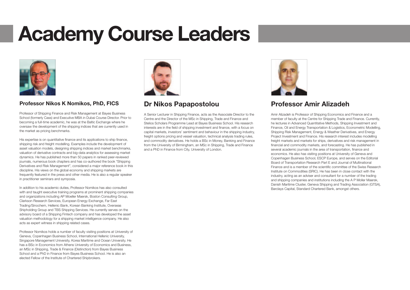# **Academy Course Leaders**



#### **Professor Nikos K Nomikos, PhD, FICS**

Professor of Shipping Finance and Risk Management at Bayes Business School (formerly Cass) and Executive MBA in Dubai Course Director. Prior to becoming a full-time academic, he was at the Baltic Exchange where he oversaw the development of the shipping indices that are currently used in the market as pricing benchmarks.

His expertise is on quantitative finance and its applications to ship finance, shipping risk and freight modelling. Examples include the development of asset valuation models, designing shipping indices and market benchmarks, valuation of derivative contracts and big-data analytics for assessing market dynamics. He has published more than 50 papers in ranked peer-reviewed journals, numerous book chapters and has co-authored the book "Shipping Derivatives and Risk Management", considered a major reference book in this discipline. His views on the global economy and shipping markets are frequently featured in the press and other media. He is also a regular speaker in practitioner seminars and symposia.

In addition to his academic duties, Professor Nomikos has also consulted with and taught executive training programs at prominent shipping companies and organizations including AP Moeller Maersk, Boston Consulting Group, Clarkson Research Services, European Energy Exchange, Far East Trading/Sinochem, Hellenic Bank, Korean Banking Institute, Overseas Shipholding Group and TBS Shipping Services. He currently serves on the advisory board of a Shipping Fintech company and has developed the asset valuation methodology for a shipping market intelligence company. He also acts as expert witness in shipping related cases.

Professor Nomikos holds a number of faculty visiting positions at University of Geneva, Copenhagen Business School, International Hellenic University, Singapore Management University, Korea Maritime and Ocean University. He has a BSc in Economics from Athens University of Economics and Business, an MSc in Shipping, Trade & Finance (Distinction) from Bayes Business School and a PhD in Finance from Bayes Business School. He is also an elected Fellow of the Institute of Chartered Shipbrokers.



#### **Dr Nikos Papapostolou**

A Senior Lecturer in Shipping Finance, acts as the Associate Director to the Centre and the Director of the MSc in Shipping, Trade and Finance and Stelios Scholars Programme Lead at Bayes Business School. His research interests are in the field of shipping investment and finance, with a focus on capital markets, investors' sentiment and behaviour in the shipping industry, freight options pricing and vessel valuation, technical analysis trading rules, and commodity derivatives. He holds a BSc in Money, Banking and Finance from the University of Birmingham, an MSc in Shipping, Trade and Finance and a PhD in Finance from City, University of London.



#### **Professor Amir Alizadeh**

Amir Alizadeh is Professor of Shipping Economics and Finance and a member of faculty at the Centre for Shipping Trade and Finance. Currently, he lectures in Advanced Quantitative Methods, Shipping Investment and Finance, Oil and Energy Transportation & Logistics, Econometric Modelling, Shipping Risk Management, Energy & Weather Derivatives, and Energy Project Investment and Finance. His research interest includes modelling freight markets and markets for ships, derivatives and risk management in financial and commodity markets, and forecasting. He has published in several academic journals in the area of transportation, finance and economics. He also has visiting positions at University of Geneva and Copenhagen Business School, ESCP Europe, and serves on the Editorial Board of Transportation Research Part E and Journal of Multinational Finance and is a member of the scientific committee of the Swiss Research Institute on Commodities (SRIC). He has been in close contact with the industry, acting as an adviser and consultant for a number of the trading and shipping companies and institutions including the A P Moller Maersk, Danish Maritime Cluster, Geneva Shipping and Trading Association (GTSA), Barclays Capital, Standard Chartered Bank, amongst others.